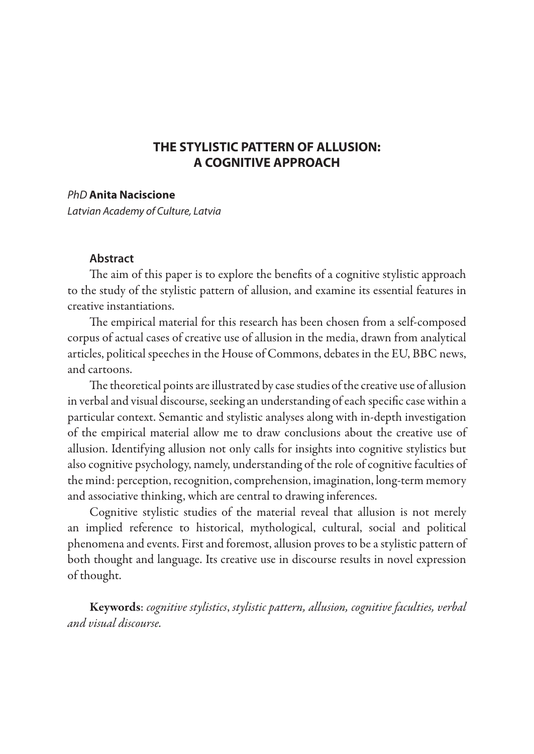# **THE STYLISTIC PATTERN OF ALLUSION: A COGNITIVE APPROACH**

# *PhD* **Anita Naciscione**

*Latvian Academy of Culture, Latvia*

### **Abstract**

The aim of this paper is to explore the benefits of a cognitive stylistic approach to the study of the stylistic pattern of allusion, and examine its essential features in creative instantiations.

The empirical material for this research has been chosen from a self-composed corpus of actual cases of creative use of allusion in the media, drawn from analytical articles, political speeches in the House of Commons, debates in the EU, BBC news, and cartoons.

The theoretical points are illustrated by case studies of the creative use of allusion in verbal and visual discourse, seeking an understanding of each specific case within a particular context. Semantic and stylistic analyses along with in-depth investigation of the empirical material allow me to draw conclusions about the creative use of allusion. Identifying allusion not only calls for insights into cognitive stylistics but also cognitive psychology, namely, understanding of the role of cognitive faculties of the mind: perception, recognition, comprehension, imagination, long-term memory and associative thinking, which are central to drawing inferences.

Cognitive stylistic studies of the material reveal that allusion is not merely an implied reference to historical, mythological, cultural, social and political phenomena and events. First and foremost, allusion proves to be a stylistic pattern of both thought and language. Its creative use in discourse results in novel expression of thought.

Keywords: *cognitive stylistics*, *stylistic pattern, allusion, cognitive faculties, verbal and visual discourse.*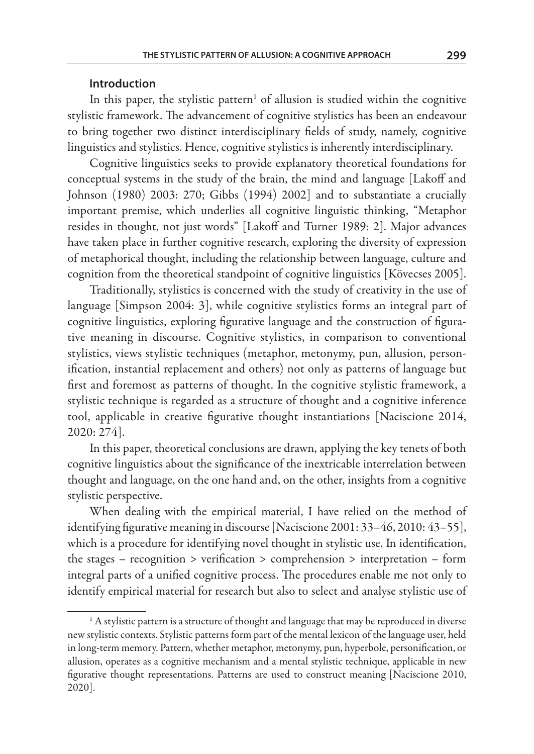#### **Introduction**

In this paper, the stylistic pattern<sup>1</sup> of allusion is studied within the cognitive stylistic framework. The advancement of cognitive stylistics has been an endeavour to bring together two distinct interdisciplinary fields of study, namely, cognitive linguistics and stylistics. Hence, cognitive stylistics is inherently interdisciplinary.

Cognitive linguistics seeks to provide explanatory theoretical foundations for conceptual systems in the study of the brain, the mind and language [Lakoff and Johnson (1980) 2003: 270; Gibbs (1994) 2002] and to substantiate a crucially important premise, which underlies all cognitive linguistic thinking, "Metaphor resides in thought, not just words" [Lakoff and Turner 1989: 2]. Major advances have taken place in further cognitive research, exploring the diversity of expression of metaphorical thought, including the relationship between language, culture and cognition from the theoretical standpoint of cognitive linguistics [Kövecses 2005].

Traditionally, stylistics is concerned with the study of creativity in the use of language [Simpson 2004: 3], while cognitive stylistics forms an integral part of cognitive linguistics, exploring figurative language and the construction of figurative meaning in discourse. Cognitive stylistics, in comparison to conventional stylistics, views stylistic techniques (metaphor, metonymy, pun, allusion, personification, instantial replacement and others) not only as patterns of language but first and foremost as patterns of thought. In the cognitive stylistic framework, a stylistic technique is regarded as a structure of thought and a cognitive inference tool, applicable in creative figurative thought instantiations [Naciscione 2014, 2020: 274].

In this paper, theoretical conclusions are drawn, applying the key tenets of both cognitive linguistics about the significance of the inextricable interrelation between thought and language, on the one hand and, on the other, insights from a cognitive stylistic perspective.

When dealing with the empirical material, I have relied on the method of identifying figurative meaning in discourse [Naciscione 2001: 33–46, 2010: 43–55], which is a procedure for identifying novel thought in stylistic use. In identification, the stages – recognition > verification > comprehension > interpretation – form integral parts of a unified cognitive process. The procedures enable me not only to identify empirical material for research but also to select and analyse stylistic use of

<sup>&</sup>lt;sup>1</sup> A stylistic pattern is a structure of thought and language that may be reproduced in diverse new stylistic contexts. Stylistic patterns form part of the mental lexicon of the language user, held in long-term memory. Pattern, whether metaphor, metonymy, pun, hyperbole, personification, or allusion, operates as a cognitive mechanism and a mental stylistic technique, applicable in new figurative thought representations. Patterns are used to construct meaning [Naciscione 2010, 2020].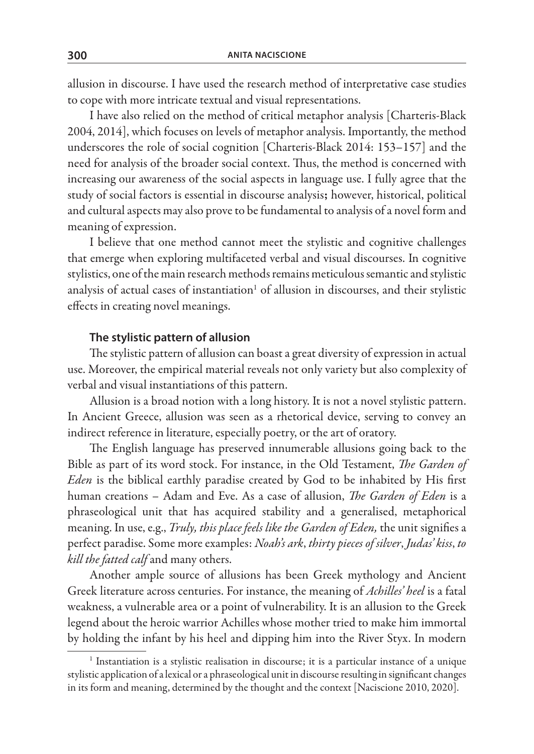allusion in discourse. I have used the research method of interpretative case studies to cope with more intricate textual and visual representations.

I have also relied on the method of critical metaphor analysis [Charteris-Black 2004, 2014], which focuses on levels of metaphor analysis. Importantly, the method underscores the role of social cognition [Charteris-Black 2014: 153–157] and the need for analysis of the broader social context. Thus, the method is concerned with increasing our awareness of the social aspects in language use. I fully agree that the study of social factors is essential in discourse analysis; however, historical, political and cultural aspects may also prove to be fundamental to analysis of a novel form and meaning of expression.

I believe that one method cannot meet the stylistic and cognitive challenges that emerge when exploring multifaceted verbal and visual discourses. In cognitive stylistics, one of the main research methods remains meticulous semantic and stylistic analysis of actual cases of instantiation $^1$  of allusion in discourses, and their stylistic effects in creating novel meanings.

#### **The stylistic pattern of allusion**

The stylistic pattern of allusion can boast a great diversity of expression in actual use. Moreover, the empirical material reveals not only variety but also complexity of verbal and visual instantiations of this pattern.

Allusion is a broad notion with a long history. It is not a novel stylistic pattern. In Ancient Greece, allusion was seen as a rhetorical device, serving to convey an indirect reference in literature, especially poetry, or the art of oratory.

The English language has preserved innumerable allusions going back to the Bible as part of its word stock. For instance, in the Old Testament, *The Garden of Eden* is the biblical earthly paradise created by God to be inhabited by His first human creations – Adam and Eve. As a case of allusion, *The Garden of Eden* is a phraseological unit that has acquired stability and a generalised, metaphorical meaning. In use, e.g., *Truly, this place feels like the Garden of Eden,* the unit signifies a perfect paradise. Some more examples: *Noah's ark*, *thirty pieces of silver*, *Judas' kiss*, *to kill the fatted calf* and many others.

Another ample source of allusions has been Greek mythology and Ancient Greek literature across centuries. For instance, the meaning of *Achilles' heel* is a fatal weakness, a vulnerable area or a point of vulnerability. It is an allusion to the Greek legend about the heroic warrior Achilles whose mother tried to make him immortal by holding the infant by his heel and dipping him into the River Styx. In modern

<sup>&</sup>lt;sup>1</sup> Instantiation is a stylistic realisation in discourse; it is a particular instance of a unique stylistic application of a lexical or a phraseological unit in discourse resulting in significant changes in its form and meaning, determined by the thought and the context [Naciscione 2010, 2020].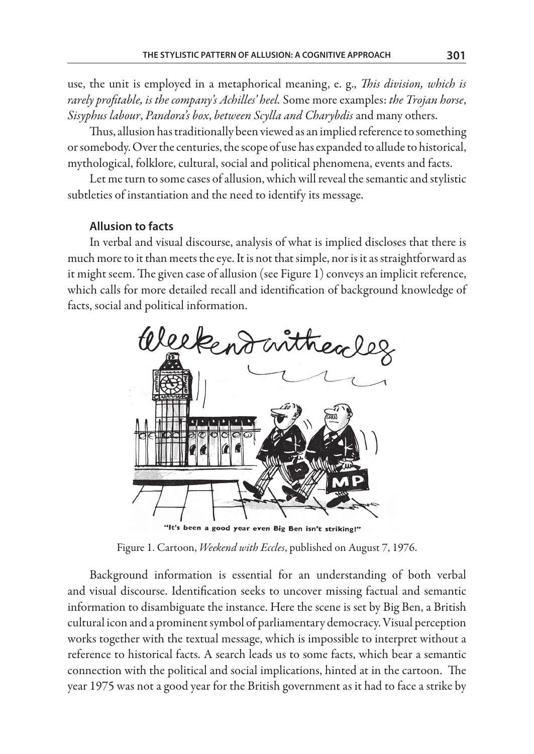use, the unit is employed in a metaphorical meaning, e. g., *This division, which is rarely profitable, is the company's Achilles' heel.* Some more examples: *the Trojan horse*, *Sisyphus labour*, *Pandora's box*, *between Scylla and Charybdis* and many others.

Thus, allusion has traditionally been viewed as an implied reference to something or somebody. Over the centuries, the scope of use has expanded to allude to historical, mythological, folklore, cultural, social and political phenomena, events and facts.

Let me turn to some cases of allusion, which will reveal the semantic and stylistic subtleties of instantiation and the need to identify its message.

# **Allusion to facts**

In verbal and visual discourse, analysis of what is implied discloses that there is much more to it than meets the eye. It is not that simple, nor is it as straightforward as it might seem. The given case of allusion (see Figure 1) conveys an implicit reference, which calls for more detailed recall and identification of background knowledge of facts, social and political information.



Figure 1. Cartoon, *Weekend with Eccles*, published on August 7, 1976.

Background information is essential for an understanding of both verbal and visual discourse. Identification seeks to uncover missing factual and semantic information to disambiguate the instance. Here the scene is set by Big Ben, a British cultural icon and a prominent symbol of parliamentary democracy. Visual perception works together with the textual message, which is impossible to interpret without a reference to historical facts. A search leads us to some facts, which bear a semantic connection with the political and social implications, hinted at in the cartoon. The year 1975 was not a good year for the British government as it had to face a strike by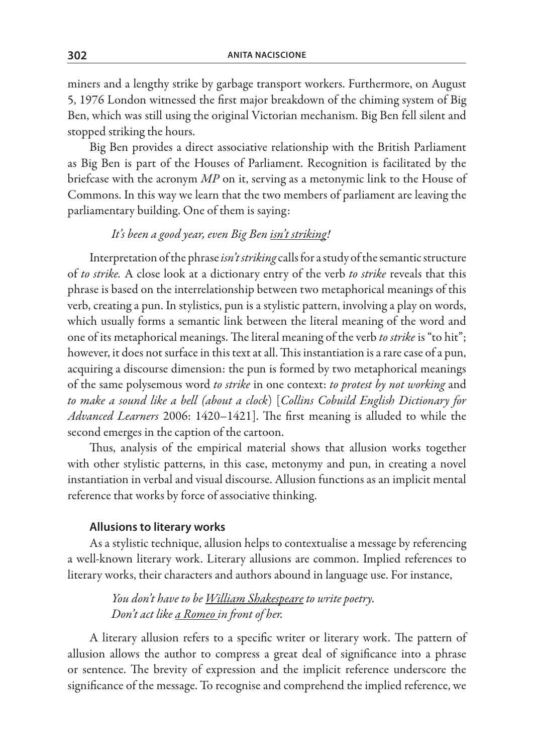miners and a lengthy strike by garbage transport workers. Furthermore, on August 5, 1976 London witnessed the first major breakdown of the chiming system of Big Ben, which was still using the original Victorian mechanism. Big Ben fell silent and stopped striking the hours.

Big Ben provides a direct associative relationship with the British Parliament as Big Ben is part of the Houses of Parliament. Recognition is facilitated by the briefcase with the acronym *MP* on it, serving as a metonymic link to the House of Commons. In this way we learn that the two members of parliament are leaving the parliamentary building. One of them is saying:

# *It's been a good year, even Big Ben isn't striking!*

Interpretation of the phrase *isn't striking* calls for a study of the semantic structure of *to strike.* A close look at a dictionary entry of the verb *to strike* reveals that this phrase is based on the interrelationship between two metaphorical meanings of this verb, creating a pun. In stylistics, pun is a stylistic pattern, involving a play on words, which usually forms a semantic link between the literal meaning of the word and one of its metaphorical meanings. The literal meaning of the verb *to strike* is "to hit"; however, it does not surface in this text at all. This instantiation is a rare case of a pun, acquiring a discourse dimension: the pun is formed by two metaphorical meanings of the same polysemous word *to strike* in one context: *to protest by not working* and *to make a sound like a bell (about a clock*) [*Collins Cobuild English Dictionary for Advanced Learners* 2006: 1420–1421]. The first meaning is alluded to while the second emerges in the caption of the cartoon.

Thus, analysis of the empirical material shows that allusion works together with other stylistic patterns, in this case, metonymy and pun, in creating a novel instantiation in verbal and visual discourse. Allusion functions as an implicit mental reference that works by force of associative thinking.

#### **Allusions to literary works**

As a stylistic technique, allusion helps to contextualise a message by referencing a well-known literary work. Literary allusions are common. Implied references to literary works, their characters and authors abound in language use. For instance,

> *You don't have to be William Shakespeare to write poetry. Don't act like a Romeo in front of her.*

A literary allusion refers to a specific writer or literary work. The pattern of allusion allows the author to compress a great deal of significance into a phrase or sentence. The brevity of expression and the implicit reference underscore the significance of the message. To recognise and comprehend the implied reference, we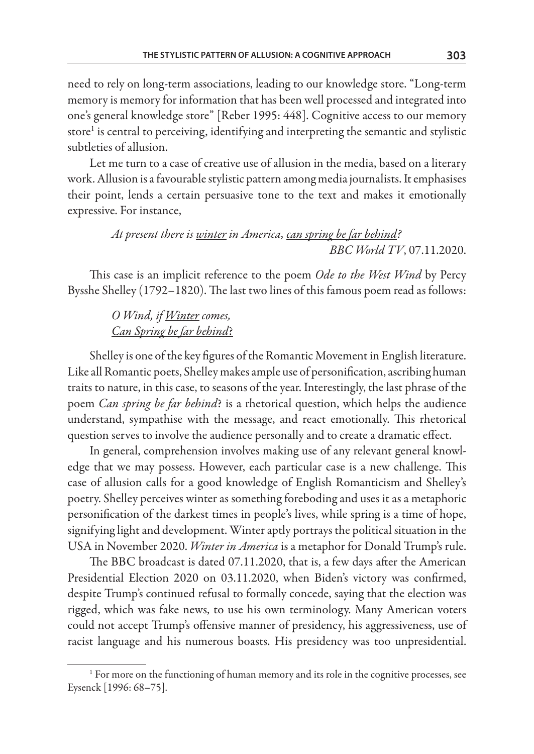need to rely on long-term associations, leading to our knowledge store. "Long-term memory is memory for information that has been well processed and integrated into one's general knowledge store" [Reber 1995: 448]. Cognitive access to our memory  $\rm store^1$  is central to perceiving, identifying and interpreting the semantic and stylistic subtleties of allusion.

Let me turn to a case of creative use of allusion in the media, based on a literary work. Allusion is a favourable stylistic pattern among media journalists. It emphasises their point, lends a certain persuasive tone to the text and makes it emotionally expressive. For instance,

> *At present there is winter in America, can spring be far behind? BBC World TV*, 07.11.2020.

This case is an implicit reference to the poem *Ode to the West Wind* by Percy Bysshe Shelley (1792–1820). The last two lines of this famous poem read as follows:

> *O Wind, if Winter comes, Can Spring be far behind*?

Shelley is one of the key figures of the Romantic Movement in English literature. Like all Romantic poets, Shelley makes ample use of personification, ascribing human traits to nature, in this case, to seasons of the year. Interestingly, the last phrase of the poem *Can spring be far behind*? is a rhetorical question, which helps the audience understand, sympathise with the message, and react emotionally. This rhetorical question serves to involve the audience personally and to create a dramatic effect.

In general, comprehension involves making use of any relevant general knowledge that we may possess. However, each particular case is a new challenge. This case of allusion calls for a good knowledge of English Romanticism and Shelley's poetry. Shelley perceives winter as something foreboding and uses it as a metaphoric personification of the darkest times in people's lives, while spring is a time of hope, signifying light and development. Winter aptly portrays the political situation in the USA in November 2020. *Winter in America* is a metaphor for Donald Trump's rule.

The BBC broadcast is dated 07.11.2020, that is, a few days after the American Presidential Election 2020 on 03.11.2020, when Biden's victory was confirmed, despite Trump's continued refusal to formally concede, saying that the election was rigged, which was fake news, to use his own terminology. Many American voters could not accept Trump's offensive manner of presidency, his aggressiveness, use of racist language and his numerous boasts. His presidency was too unpresidential.

<sup>&</sup>lt;sup>1</sup> For more on the functioning of human memory and its role in the cognitive processes, see Eysenck [1996: 68–75].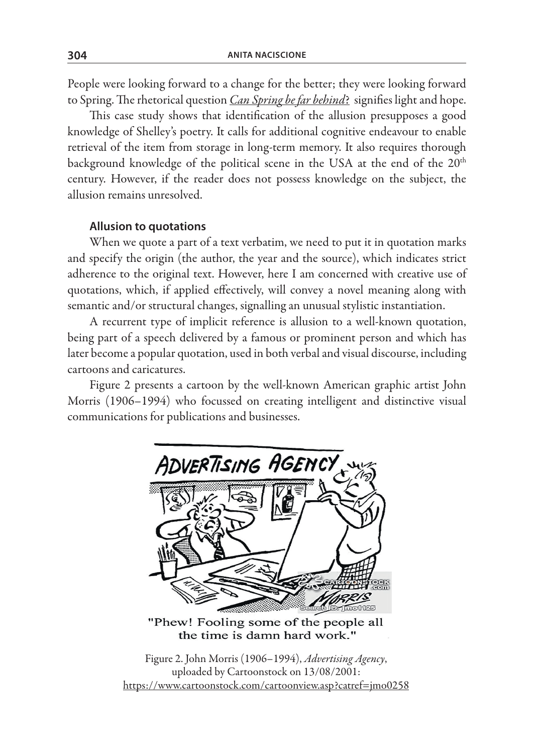People were looking forward to a change for the better; they were looking forward to Spring. The rhetorical question *Can Spring be far behind*? signifies light and hope.

This case study shows that identification of the allusion presupposes a good knowledge of Shelley's poetry. It calls for additional cognitive endeavour to enable retrieval of the item from storage in long-term memory. It also requires thorough background knowledge of the political scene in the USA at the end of the 20<sup>th</sup> century. However, if the reader does not possess knowledge on the subject, the allusion remains unresolved.

# **Allusion to quotations**

When we quote a part of a text verbatim, we need to put it in quotation marks and specify the origin (the author, the year and the source), which indicates strict adherence to the original text. However, here I am concerned with creative use of quotations, which, if applied effectively, will convey a novel meaning along with semantic and/or structural changes, signalling an unusual stylistic instantiation.

A recurrent type of implicit reference is allusion to a well-known quotation, being part of a speech delivered by a famous or prominent person and which has later become a popular quotation, used in both verbal and visual discourse, including cartoons and caricatures.

Figure 2 presents a cartoon by the well-known American graphic artist John Morris (1906–1994) who focussed on creating intelligent and distinctive visual communications for publications and businesses.



"Phew! Fooling some of the people all the time is damn hard work."

Figure 2. John Morris (1906–1994), *Advertising Agency*, uploaded by Cartoonstock on 13/08/2001: https://www.cartoonstock.com/cartoonview.asp?catref=jmo0258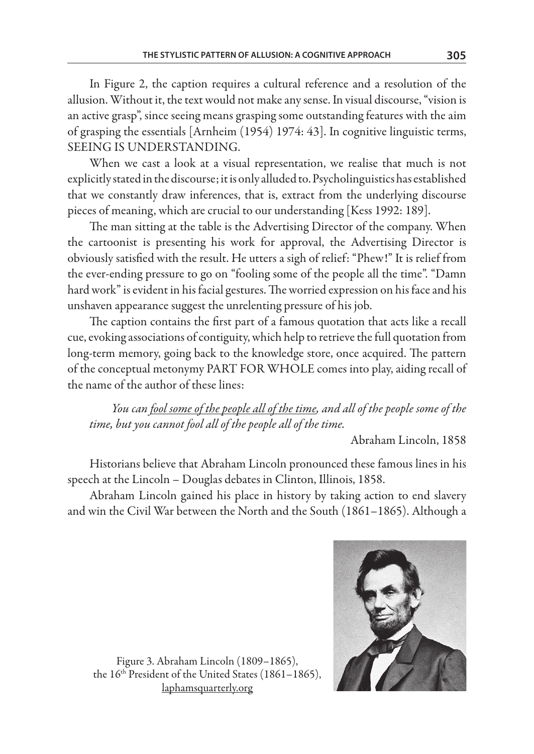In Figure 2, the caption requires a cultural reference and a resolution of the allusion. Without it, the text would not make any sense. In visual discourse, "vision is an active grasp", since seeing means grasping some outstanding features with the aim of grasping the essentials [Arnheim (1954) 1974: 43]. In cognitive linguistic terms, SEEING IS UNDERSTANDING.

When we cast a look at a visual representation, we realise that much is not explicitly stated in the discourse; it is only alluded to. Psycholinguistics has established that we constantly draw inferences, that is, extract from the underlying discourse pieces of meaning, which are crucial to our understanding [Kess 1992: 189].

The man sitting at the table is the Advertising Director of the company. When the cartoonist is presenting his work for approval, the Advertising Director is obviously satisfied with the result. He utters a sigh of relief: "Phew!" It is relief from the ever-ending pressure to go on "fooling some of the people all the time". "Damn hard work" is evident in his facial gestures. The worried expression on his face and his unshaven appearance suggest the unrelenting pressure of his job.

The caption contains the first part of a famous quotation that acts like a recall cue, evoking associations of contiguity, which help to retrieve the full quotation from long-term memory, going back to the knowledge store, once acquired. The pattern of the conceptual metonymy PART FOR WHOLE comes into play, aiding recall of the name of the author of these lines:

*You can fool some of the people all of the time, and all of the people some of the time, but you cannot fool all of the people all of the time.*

Abraham Lincoln, 1858

Historians believe that Abraham Lincoln pronounced these famous lines in his speech at the Lincoln – Douglas debates in Clinton, Illinois, 1858.

Abraham Lincoln gained his place in history by taking action to end slavery and win the Civil War between the North and the South (1861–1865). Although a



Figure 3. Abraham Lincoln (1809–1865), the  $16<sup>th</sup>$  President of the United States (1861–1865), laphamsquarterly.org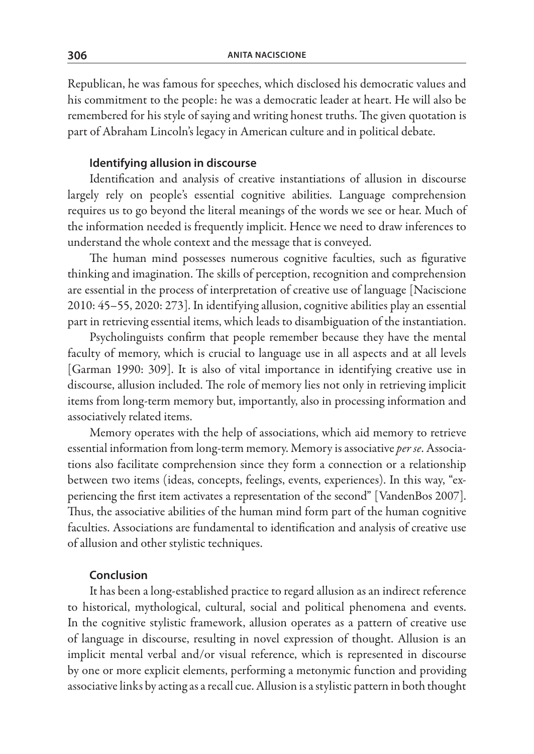Republican, he was famous for speeches, which disclosed his democratic values and his commitment to the people: he was a democratic leader at heart. He will also be remembered for his style of saying and writing honest truths. The given quotation is part of Abraham Lincoln's legacy in American culture and in political debate.

### **Identifying allusion in discourse**

Identification and analysis of creative instantiations of allusion in discourse largely rely on people's essential cognitive abilities. Language comprehension requires us to go beyond the literal meanings of the words we see or hear. Much of the information needed is frequently implicit. Hence we need to draw inferences to understand the whole context and the message that is conveyed.

The human mind possesses numerous cognitive faculties, such as figurative thinking and imagination. The skills of perception, recognition and comprehension are essential in the process of interpretation of creative use of language [Naciscione 2010: 45–55, 2020: 273]. In identifying allusion, cognitive abilities play an essential part in retrieving essential items, which leads to disambiguation of the instantiation.

Psycholinguists confirm that people remember because they have the mental faculty of memory, which is crucial to language use in all aspects and at all levels [Garman 1990: 309]. It is also of vital importance in identifying creative use in discourse, allusion included. The role of memory lies not only in retrieving implicit items from long-term memory but, importantly, also in processing information and associatively related items.

Memory operates with the help of associations, which aid memory to retrieve essential information from long-term memory. Memory is associative *per se*. Associations also facilitate comprehension since they form a connection or a relationship between two items (ideas, concepts, feelings, events, experiences). In this way, "experiencing the first item activates a representation of the second" [VandenBos 2007]. Thus, the associative abilities of the human mind form part of the human cognitive faculties. Associations are fundamental to identification and analysis of creative use of allusion and other stylistic techniques.

### **Conclusion**

It has been a long-established practice to regard allusion as an indirect reference to historical, mythological, cultural, social and political phenomena and events. In the cognitive stylistic framework, allusion operates as a pattern of creative use of language in discourse, resulting in novel expression of thought. Allusion is an implicit mental verbal and/or visual reference, which is represented in discourse by one or more explicit elements, performing a metonymic function and providing associative links by acting as a recall cue. Allusion is a stylistic pattern in both thought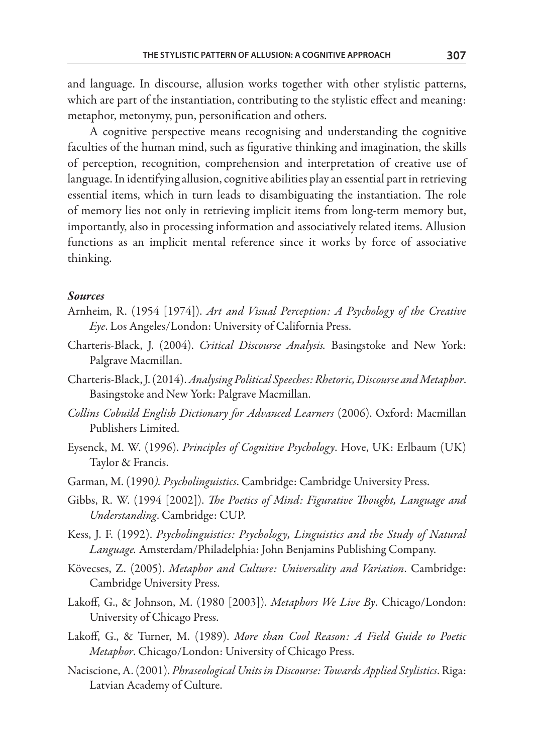and language. In discourse, allusion works together with other stylistic patterns, which are part of the instantiation, contributing to the stylistic effect and meaning: metaphor, metonymy, pun, personification and others.

A cognitive perspective means recognising and understanding the cognitive faculties of the human mind, such as figurative thinking and imagination, the skills of perception, recognition, comprehension and interpretation of creative use of language. In identifying allusion, cognitive abilities play an essential part in retrieving essential items, which in turn leads to disambiguating the instantiation. The role of memory lies not only in retrieving implicit items from long-term memory but, importantly, also in processing information and associatively related items. Allusion functions as an implicit mental reference since it works by force of associative thinking.

#### *Sources*

- Arnheim, R. (1954 [1974]). *Art and Visual Perception: A Psychology of the Creative Eye*. Los Angeles/London: University of California Press.
- Charteris-Black, J. (2004). *Critical Discourse Analysis.* Basingstoke and New York: Palgrave Macmillan.
- Charteris-Black, J. (2014). *Analysing Political Speeches: Rhetoric, Discourse and Metaphor*. Basingstoke and New York: Palgrave Macmillan.
- *Collins Cobuild English Dictionary for Advanced Learners* (2006). Oxford: Macmillan Publishers Limited.
- Eysenck, M. W. (1996). *Principles of Cognitive Psychology*. Hove, UK: Erlbaum (UK) Taylor & Francis.
- Garman, M. (1990*). Psycholinguistics*. Cambridge: Cambridge University Press.
- Gibbs, R. W. (1994 [2002]). *The Poetics of Mind: Figurative Thought, Language and Understanding*. Cambridge: CUP.
- Kess, J. F. (1992). *Psycholinguistics: Psychology, Linguistics and the Study of Natural Language.* Amsterdam/Philadelphia: John Benjamins Publishing Company.
- Kövecses, Z. (2005). *Metaphor and Culture: Universality and Variation*. Cambridge: Cambridge University Press.
- Lakoff, G., & Johnson, M. (1980 [2003]). *Metaphors We Live By*. Chicago/London: University of Chicago Press.
- Lakoff, G., & Turner, M. (1989). *More than Cool Reason: A Field Guide to Poetic Metaphor*. Chicago/London: University of Chicago Press.
- Naciscione, A. (2001). *Phraseological Units in Discourse: Towards Applied Stylistics*. Riga: Latvian Academy of Culture.